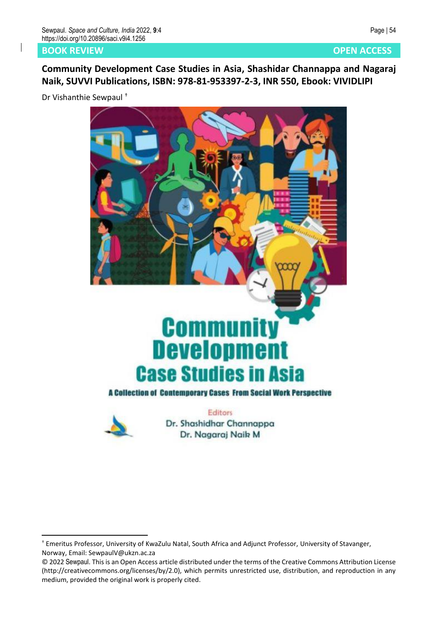## **BOOK REVIEW AND REVIEW AND REVIEW AND REVIEW AND REVIEW AND REVIEW AND REVIEW AND REVIEW AND REVIEW AND REVIEW**

**Community Development Case Studies in Asia, Shashidar Channappa and Nagaraj Naik, SUVVI Publications, ISBN: 978-81-953397-2-3, INR 550, Ebook: VIVIDLIPI**

Dr Vishanthie Sewpaul †





Dr. Shashidhar Channappa Dr. Nagaraj Naik M

<sup>†</sup> Emeritus Professor, University of KwaZulu Natal, South Africa and Adjunct Professor, University of Stavanger, Norway, Email: SewpaulV@ukzn.ac.za

<sup>© 2022</sup> Sewpaul. This is an Open Access article distributed under the terms of the Creative Commons Attribution License (http://creativecommons.org/licenses/by/2.0), which permits unrestricted use, distribution, and reproduction in any medium, provided the original work is properly cited.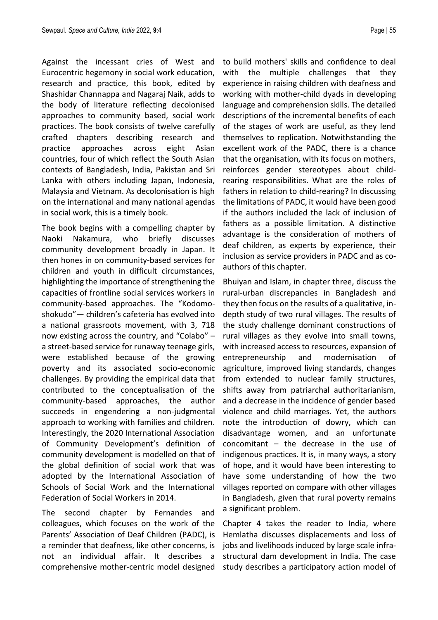Against the incessant cries of West and Eurocentric hegemony in social work education, research and practice, this book, edited by Shashidar Channappa and Nagaraj Naik, adds to the body of literature reflecting decolonised approaches to community based, social work practices. The book consists of twelve carefully crafted chapters describing research and practice approaches across eight Asian countries, four of which reflect the South Asian contexts of Bangladesh, India, Pakistan and Sri Lanka with others including Japan, Indonesia, Malaysia and Vietnam. As decolonisation is high on the international and many national agendas in social work, this is a timely book.

The book begins with a compelling chapter by Naoki Nakamura, who briefly discusses community development broadly in Japan. It then hones in on community-based services for children and youth in difficult circumstances, highlighting the importance of strengthening the capacities of frontline social services workers in community-based approaches. The "Kodomoshokudo"— children's cafeteria has evolved into a national grassroots movement, with 3, 718 now existing across the country, and "Colabo" – a street-based service for runaway teenage girls, were established because of the growing poverty and its associated socio-economic challenges. By providing the empirical data that contributed to the conceptualisation of the community-based approaches, the author succeeds in engendering a non-judgmental approach to working with families and children. Interestingly, the 2020 International Association of Community Development's definition of community development is modelled on that of the global definition of social work that was adopted by the International Association of Schools of Social Work and the International Federation of Social Workers in 2014.

The second chapter by Fernandes and colleagues, which focuses on the work of the Parents' Association of Deaf Children (PADC), is a reminder that deafness, like other concerns, is not an individual affair. It describes a comprehensive mother-centric model designed to build mothers' skills and confidence to deal with the multiple challenges that they experience in raising children with deafness and working with mother-child dyads in developing language and comprehension skills. The detailed descriptions of the incremental benefits of each of the stages of work are useful, as they lend themselves to replication. Notwithstanding the excellent work of the PADC, there is a chance that the organisation, with its focus on mothers, reinforces gender stereotypes about childrearing responsibilities. What are the roles of fathers in relation to child-rearing? In discussing the limitations of PADC, it would have been good if the authors included the lack of inclusion of fathers as a possible limitation. A distinctive advantage is the consideration of mothers of deaf children, as experts by experience, their inclusion as service providers in PADC and as coauthors of this chapter.

Bhuiyan and Islam, in chapter three, discuss the rural-urban discrepancies in Bangladesh and they then focus on the results of a qualitative, indepth study of two rural villages. The results of the study challenge dominant constructions of rural villages as they evolve into small towns, with increased access to resources, expansion of entrepreneurship and modernisation of agriculture, improved living standards, changes from extended to nuclear family structures, shifts away from patriarchal authoritarianism, and a decrease in the incidence of gender based violence and child marriages. Yet, the authors note the introduction of dowry, which can disadvantage women, and an unfortunate concomitant – the decrease in the use of indigenous practices. It is, in many ways, a story of hope, and it would have been interesting to have some understanding of how the two villages reported on compare with other villages in Bangladesh, given that rural poverty remains a significant problem.

Chapter 4 takes the reader to India, where Hemlatha discusses displacements and loss of jobs and livelihoods induced by large scale infrastructural dam development in India. The case study describes a participatory action model of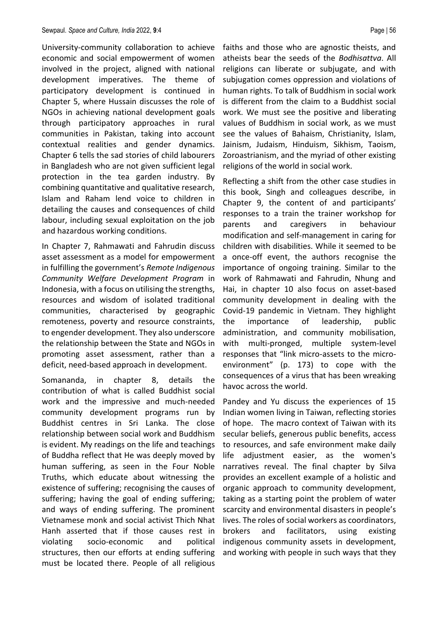University-community collaboration to achieve economic and social empowerment of women involved in the project, aligned with national development imperatives. The theme of participatory development is continued in Chapter 5, where Hussain discusses the role of NGOs in achieving national development goals through participatory approaches in rural communities in Pakistan, taking into account contextual realities and gender dynamics. Chapter 6 tells the sad stories of child labourers in Bangladesh who are not given sufficient legal protection in the tea garden industry. By combining quantitative and qualitative research, Islam and Raham lend voice to children in detailing the causes and consequences of child labour, including sexual exploitation on the job and hazardous working conditions.

In Chapter 7, Rahmawati and Fahrudin discuss asset assessment as a model for empowerment in fulfilling the government's *Remote Indigenous Community Welfare Development Program* in Indonesia, with a focus on utilising the strengths, resources and wisdom of isolated traditional communities, characterised by geographic remoteness, poverty and resource constraints, to engender development. They also underscore the relationship between the State and NGOs in promoting asset assessment, rather than a deficit, need-based approach in development.

Somananda, in chapter 8, details the contribution of what is called Buddhist social work and the impressive and much-needed community development programs run by Buddhist centres in Sri Lanka. The close relationship between social work and Buddhism is evident. My readings on the life and teachings of Buddha reflect that He was deeply moved by human suffering, as seen in the Four Noble Truths, which educate about witnessing the existence of suffering; recognising the causes of suffering; having the goal of ending suffering; and ways of ending suffering. The prominent Vietnamese monk and social activist Thich Nhat Hanh asserted that if those causes rest in violating socio-economic and political structures, then our efforts at ending suffering must be located there. People of all religious

faiths and those who are agnostic theists, and atheists bear the seeds of the *Bodhisattva*. All religions can liberate or subjugate, and with subjugation comes oppression and violations of human rights. To talk of Buddhism in social work is different from the claim to a Buddhist social work. We must see the positive and liberating values of Buddhism in social work, as we must see the values of Bahaism, Christianity, Islam, Jainism, Judaism, Hinduism, Sikhism, Taoism, Zoroastrianism, and the myriad of other existing religions of the world in social work.

Reflecting a shift from the other case studies in this book, Singh and colleagues describe, in Chapter 9, the content of and participants' responses to a train the trainer workshop for parents and caregivers in behaviour modification and self-management in caring for children with disabilities. While it seemed to be a once-off event, the authors recognise the importance of ongoing training. Similar to the work of Rahmawati and Fahrudin, Nhung and Hai, in chapter 10 also focus on asset-based community development in dealing with the Covid-19 pandemic in Vietnam. They highlight the importance of leadership, public administration, and community mobilisation, with multi-pronged, multiple system-level responses that "link micro-assets to the microenvironment" (p. 173) to cope with the consequences of a virus that has been wreaking havoc across the world.

Pandey and Yu discuss the experiences of 15 Indian women living in Taiwan, reflecting stories of hope. The macro context of Taiwan with its secular beliefs, generous public benefits, access to resources, and safe environment make daily life adjustment easier, as the women's narratives reveal. The final chapter by Silva provides an excellent example of a holistic and organic approach to community development, taking as a starting point the problem of water scarcity and environmental disasters in people's lives. The roles of social workers as coordinators, brokers and facilitators, using existing indigenous community assets in development, and working with people in such ways that they